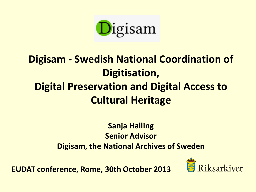

## **Digisam - Swedish National Coordination of Digitisation, Digital Preservation and Digital Access to Cultural Heritage**

#### **Sanja Halling Senior Advisor Digisam, the National Archives of Sweden**

**EUDAT conference, Rome, 30th October 2013**

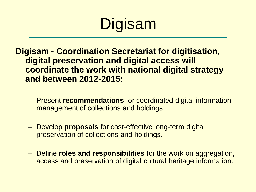# Digisam

**Digisam - Coordination Secretariat for digitisation, digital preservation and digital access will coordinate the work with national digital strategy and between 2012-2015:**

- Present **recommendations** for coordinated digital information management of collections and holdings.
- Develop **proposals** for cost-effective long-term digital preservation of collections and holdings.
- Define **roles and responsibilities** for the work on aggregation, access and preservation of digital cultural heritage information.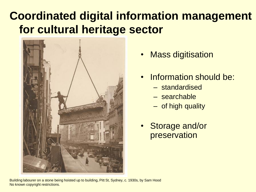## **Coordinated digital information management for cultural heritage sector**



- **Mass digitisation**
- Information should be:
	- standardised
	- searchable
	- of high quality
- Storage and/or preservation

Building labourer on a stone being hoisted up to building, Pitt St, Sydney, c. 1930s, by Sam Hood No known copyright restrictions.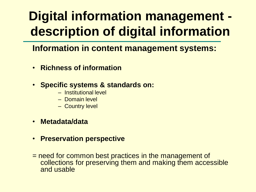# **Digital information management description of digital information**

**Information in content management systems:**

- **Richness of information**
- **Specific systems & standards on:**
	- Institutional level
	- Domain level
	- Country level
- **Metadata/data**
- **Preservation perspective**
- = need for common best practices in the management of collections for preserving them and making them accessible and usable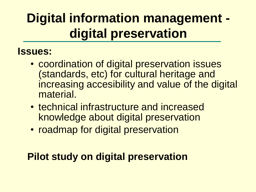# **Digital information management digital preservation**

#### **Issues:**

- coordination of digital preservation issues (standards, etc) for cultural heritage and increasing accesibility and value of the digital material.
- technical infrastructure and increased knowledge about digital preservation
- roadmap for digital preservation

### **Pilot study on digital preservation**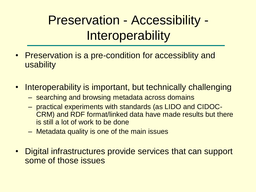Preservation - Accessibility - **Interoperability** 

- Preservation is a pre-condition for accessiblity and usability
- Interoperability is important, but technically challenging
	- searching and browsing metadata across domains
	- practical experiments with standards (as LIDO and CIDOC-CRM) and RDF format/linked data have made results but there is still a lot of work to be done
	- Metadata quality is one of the main issues
- Digital infrastructures provide services that can support some of those issues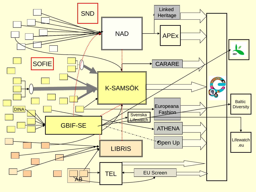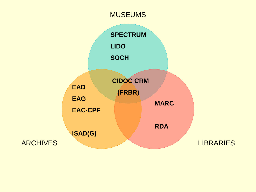#### **MUSEUMS**

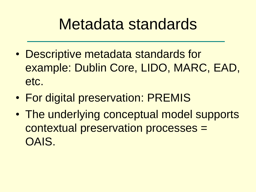# Metadata standards

- Descriptive metadata standards for example: Dublin Core, LIDO, MARC, EAD, etc.
- For digital preservation: PREMIS
- The underlying conceptual model supports contextual preservation processes = OAIS.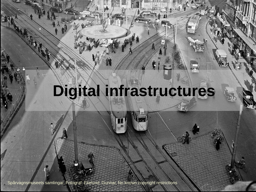# **Digital infrastructures**

¢

Spårvagnsmuseets samlingar, Fotograf: Ekelund, Gunnar, No known copyright restrictions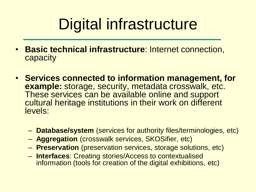# Digital infrastructure

- **Basic technical infrastructure**: Internet connection, capacity
- **Services connected to information management, for example:** storage, security, metadata crosswalk, etc. These services can be available online and support cultural heritage institutions in their work on different levels:
	- **Database/system** (services for authority files/terminologies, etc)
	- **Aggregation** (crosswalk services, SKOSifier, etc)
	- **Preservation** (preservation services, storage solutions, etc)
	- **Interfaces**: Creating stories/Access to contextualised information (tools for creation of the digital exhibitions, etc)